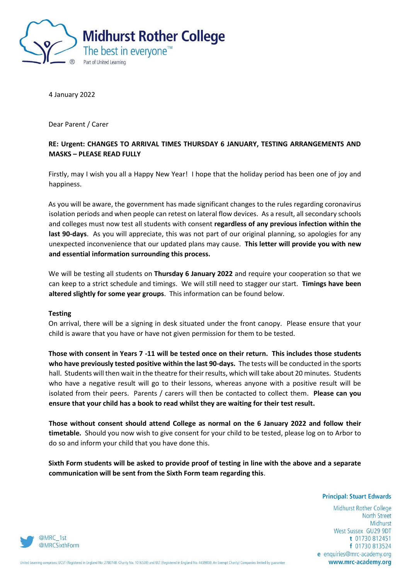

4 January 2022

Dear Parent / Carer

## **RE: Urgent: CHANGES TO ARRIVAL TIMES THURSDAY 6 JANUARY, TESTING ARRANGEMENTS AND MASKS – PLEASE READ FULLY**

Firstly, may I wish you all a Happy New Year! I hope that the holiday period has been one of joy and happiness.

As you will be aware, the government has made significant changes to the rules regarding coronavirus isolation periods and when people can retest on lateral flow devices. As a result, all secondary schools and colleges must now test all students with consent **regardless of any previous infection within the last 90-days**. As you will appreciate, this was not part of our original planning, so apologies for any unexpected inconvenience that our updated plans may cause. **This letter will provide you with new and essential information surrounding this process.** 

We will be testing all students on **Thursday 6 January 2022** and require your cooperation so that we can keep to a strict schedule and timings. We will still need to stagger our start. **Timings have been altered slightly for some year groups**. This information can be found below.

## **Testing**

On arrival, there will be a signing in desk situated under the front canopy. Please ensure that your child is aware that you have or have not given permission for them to be tested.

**Those with consent in Years 7 -11 will be tested once on their return. This includes those students who have previously tested positive within the last 90-days.** The tests will be conducted in the sports hall. Students will then wait in the theatre for their results, which will take about 20 minutes. Students who have a negative result will go to their lessons, whereas anyone with a positive result will be isolated from their peers. Parents / carers will then be contacted to collect them. **Please can you ensure that your child has a book to read whilst they are waiting for their test result.**

**Those without consent should attend College as normal on the 6 January 2022 and follow their timetable.** Should you now wish to give consent for your child to be tested, please log on to Arbor to do so and inform your child that you have done this.

**Sixth Form students will be asked to provide proof of testing in line with the above and a separate communication will be sent from the Sixth Form team regarding this**.

**Principal: Stuart Edwards** 

Midhurst Rother College **North Street** Midhurst West Sussex GU29 9DT t 01730 812451 f 01730 813524 e enquiries@mrc-academy.org www.mrc-academy.org